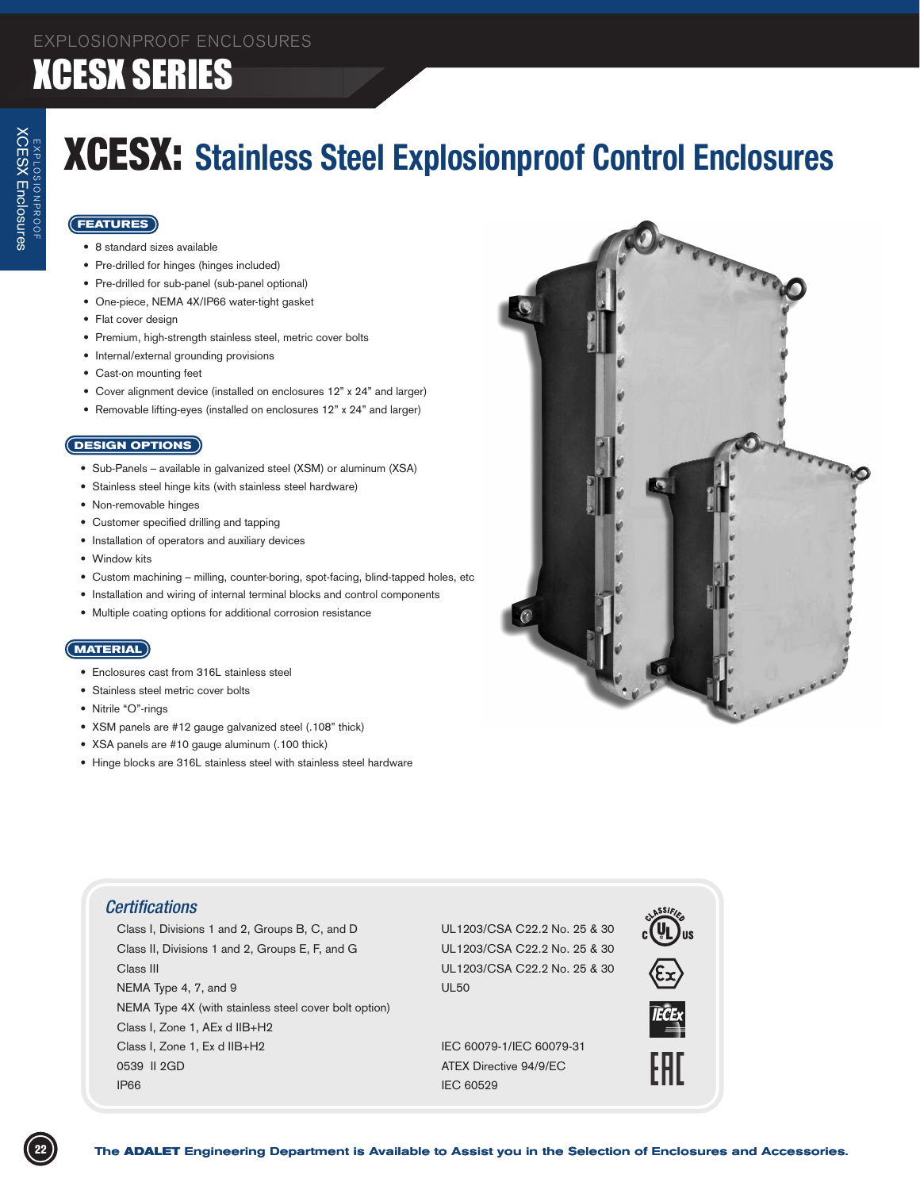## **XCESX SERIES**

## XCESX: **Stainless Steel Explosionproof Control Enclosures**

#### **FEATURES**

- • 8 standard sizes available
- • Pre-drilled for hinges (hinges included)
- • Pre-drilled for sub-panel (sub-panel optional)
- One-piece, NEMA 4X/IP66 water-tight gasket
- Flat cover design
- Premium, high-strength stainless steel, metric cover bolts
- • Internal/external grounding provisions
- Cast-on mounting feet
- Cover alignment device (installed on enclosures 12" x 24" and larger)
- • Removable lifting-eyes (installed on enclosures 12" x 24" and larger)

#### **DESIGN OPTIONS**

- Sub-Panels available in galvanized steel (XSM) or aluminum (XSA)
- Stainless steel hinge kits (with stainless steel hardware)
- • Non-removable hinges
- Customer specified drilling and tapping
- Installation of operators and auxiliary devices
- Window kits
- • Custom machining milling, counter-boring, spot-facing, blind-tapped holes, etc
- Installation and wiring of internal terminal blocks and control components
- • Multiple coating options for additional corrosion resistance

#### **MATERIAL**

- Enclosures cast from 316L stainless steel
- Stainless steel metric cover bolts
- Nitrile "O"-rings
- • XSM panels are #12 gauge galvanized steel (.108" thick)
- • XSA panels are #10 gauge aluminum (.100 thick)
- Hinge blocks are 316L stainless steel with stainless steel hardware



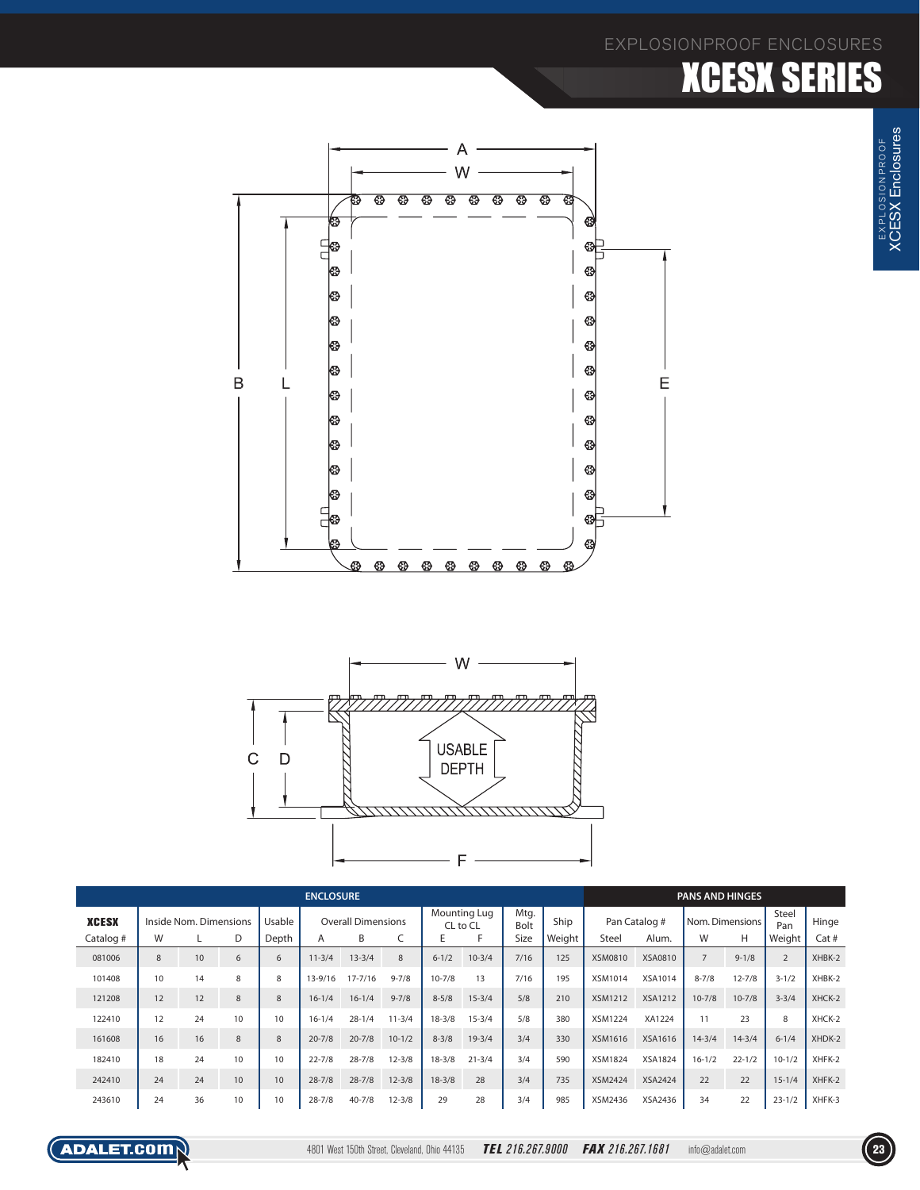#### EXPLOSIONPROOF ENCLOSURES

### **XCESX SERIES**





| <b>ENCLOSURE</b>          |                                  |    |    |                 |                                     |            |            |                               |            |                      |                |                                        | <b>PANS AND HINGES</b> |                           |            |                        |                |  |
|---------------------------|----------------------------------|----|----|-----------------|-------------------------------------|------------|------------|-------------------------------|------------|----------------------|----------------|----------------------------------------|------------------------|---------------------------|------------|------------------------|----------------|--|
| <b>XCESX</b><br>Catalog # | Inside Nom. Dimensions<br>W<br>D |    |    | Usable<br>Depth | <b>Overall Dimensions</b><br>B<br>A |            |            | Mounting Lug<br>CL to CL<br>E |            | Mtg.<br>Bolt<br>Size | Ship<br>Weight | Pan Catalog #<br><b>Steel</b><br>Alum. |                        | Nom. Dimensions<br>H<br>W |            | Steel<br>Pan<br>Weight | Hinge<br>Cat # |  |
| 081006                    | 8                                | 10 | 6  | 6               | $11 - 3/4$                          | $13 - 3/4$ | 8          | $6 - 1/2$                     | $10 - 3/4$ | 7/16                 | 125            | <b>XSM0810</b>                         | XSA0810                | $\overline{7}$            | $9 - 1/8$  | $\overline{2}$         | XHBK-2         |  |
| 101408                    | 10                               | 14 | 8  | 8               | 13-9/16                             | 17-7/16    | $9 - 7/8$  | $10 - 7/8$                    | 13         | 7/16                 | 195            | <b>XSM1014</b>                         | XSA1014                | $8 - 7/8$                 | $12 - 7/8$ | $3 - 1/2$              | XHBK-2         |  |
| 121208                    | 12                               | 12 | 8  | 8               | $16 - 1/4$                          | $16 - 1/4$ | $9 - 7/8$  | $8 - 5/8$                     | $15 - 3/4$ | 5/8                  | 210            | <b>XSM1212</b>                         | <b>XSA1212</b>         | $10 - 7/8$                | $10 - 7/8$ | $3 - 3/4$              | XHCK-2         |  |
| 122410                    | 12                               | 24 | 10 | 10              | $16 - 1/4$                          | $28 - 1/4$ | $11 - 3/4$ | $18 - 3/8$                    | $15 - 3/4$ | 5/8                  | 380            | <b>XSM1224</b>                         | XA1224                 | 11                        | 23         | 8                      | XHCK-2         |  |
| 161608                    | 16                               | 16 | 8  | 8               | $20 - 7/8$                          | $20 - 7/8$ | $10 - 1/2$ | $8 - 3/8$                     | $19 - 3/4$ | 3/4                  | 330            | XSM1616                                | XSA1616                | $14 - 3/4$                | $14 - 3/4$ | $6 - 1/4$              | XHDK-2         |  |
| 182410                    | 18                               | 24 | 10 | 10              | $22 - 7/8$                          | $28 - 7/8$ | $12 - 3/8$ | $18 - 3/8$                    | $21 - 3/4$ | 3/4                  | 590            | <b>XSM1824</b>                         | <b>XSA1824</b>         | $16 - 1/2$                | $22 - 1/2$ | $10 - 1/2$             | XHFK-2         |  |
| 242410                    | 24                               | 24 | 10 | 10              | $28 - 7/8$                          | $28 - 7/8$ | $12 - 3/8$ | $18 - 3/8$                    | 28         | 3/4                  | 735            | <b>XSM2424</b>                         | <b>XSA2424</b>         | 22                        | 22         | $15 - 1/4$             | XHFK-2         |  |
| 243610                    | 24                               | 36 | 10 | 10              | $28 - 7/8$                          | $40 - 7/8$ | $12 - 3/8$ | 29                            | 28         | 3/4                  | 985            | XSM2436                                | XSA2436                | 34                        | 22         | $23 - 1/2$             | XHFK-3         |  |

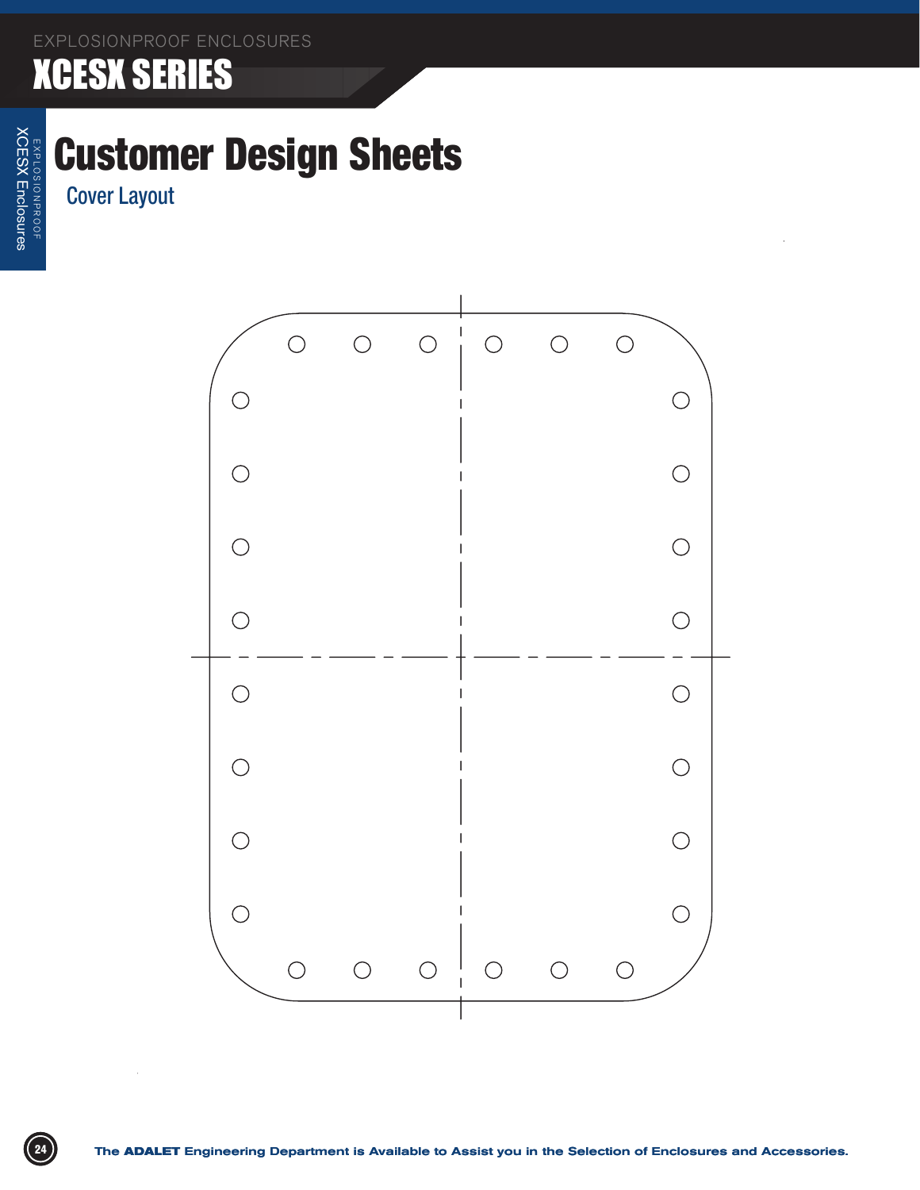#### **XCESX SERIES**

## Customer Design Sheets

Cover Layout